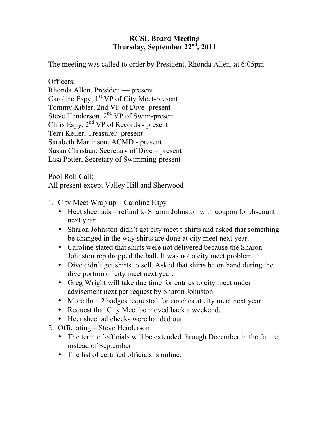## **RCSL Board Meeting Thursday, September 22nd, 2011**

The meeting was called to order by President, Rhonda Allen, at 6:05pm

Officers:

Rhonda Allen, President— present Caroline Espy, 1<sup>st</sup> VP of City Meet-present Tommy Kibler, 2nd VP of Dive- present Steve Henderson,  $2<sup>nd</sup> VP$  of Swim-present Chris Espy,  $2<sup>nd</sup> VP$  of Records - present Terri Keller, Treasurer- present Sarabeth Martinson, ACMD - present Susan Christian, Secretary of Dive – present Lisa Potter, Secretary of Swimming-present

Pool Roll Call:

All present except Valley Hill and Sherwood

- 1. City Meet Wrap up Caroline Espy
	- Heet sheet ads refund to Sharon Johnston with coupon for discount next year
	- Sharon Johnston didn't get city meet t-shirts and asked that something be changed in the way shirts are done at city meet next year.
	- Caroline stated that shirts were not delivered because the Sharon Johnston rep dropped the ball. It was not a city meet problem
	- Dive didn't get shirts to sell. Asked that shirts be on hand during the dive portion of city meet next year.
	- Greg Wright will take due time for entries to city meet under advisement next per request by Sharon Johnston
	- More than 2 badges requested for coaches at city meet next year
	- Request that City Meet be moved back a weekend.
	- Heet sheet ad checks were handed out
- 2. Officiating Steve Henderson
	- The term of officials will be extended through December in the future, instead of September.
	- The list of certified officials is online.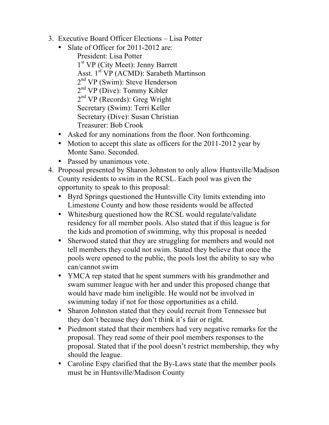- 3. Executive Board Officer Elections Lisa Potter
	- Slate of Officer for 2011-2012 are: President: Lisa Potter 1st VP (City Meet): Jenny Barrett Asst. 1<sup>st</sup> VP (ACMD): Sarabeth Martinson 2<sup>nd</sup> VP (Swim): Steve Henderson 2<sup>nd</sup> VP (Dive): Tommy Kibler 2<sup>nd</sup> VP (Records): Greg Wright Secretary (Swim): Terri Keller Secretary (Dive): Susan Christian Treasurer: Bob Crook
	- Asked for any nominations from the floor. Non forthcoming.
	- Motion to accept this slate as officers for the 2011-2012 year by Monte Sano. Seconded.
	- Passed by unanimous vote.
- 4. Proposal presented by Sharon Johnston to only allow Huntsville/Madison County residents to swim in the RCSL. Each pool was given the opportunity to speak to this proposal:
	- Byrd Springs questioned the Huntsville City limits extending into Limestone County and how those residents would be affected
	- Whitesburg questioned how the RCSL would regulate/validate residency for all member pools. Also stated that if this league is for the kids and promotion of swimming, why this proposal is needed
	- Sherwood stated that they are struggling for members and would not tell members they could not swim. Stated they believe that once the pools were opened to the public, the pools lost the ability to say who can/cannot swim
	- YMCA rep stated that he spent summers with his grandmother and swam summer league with her and under this proposed change that would have made him ineligible. He would not be involved in swimming today if not for those opportunities as a child.
	- Sharon Johnston stated that they could recruit from Tennessee but they don't because they don't think it's fair or right.
	- Piedmont stated that their members had very negative remarks for the proposal. They read some of their pool members responses to the proposal. Stated that if the pool doesn't restrict membership, they why should the league.
	- Caroline Espy clarified that the By-Laws state that the member pools must be in Huntsville/Madison County